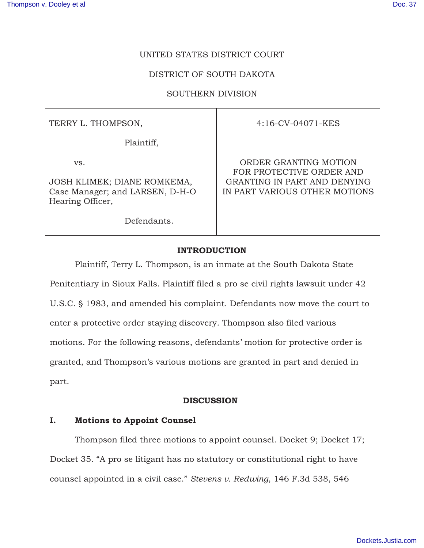# UNITED STATES DISTRICT COURT

# DISTRICT OF SOUTH DAKOTA

# SOUTHERN DIVISION

TERRY L. THOMPSON,

Plaintiff,

vs.

JOSH KLIMEK; DIANE ROMKEMA, Case Manager; and LARSEN, D-H-O Hearing Officer,

Defendants.

4:16-CV-04071-KES

ORDER GRANTING MOTION FOR PROTECTIVE ORDER AND GRANTING IN PART AND DENYING IN PART VARIOUS OTHER MOTIONS

## **INTRODUCTION**

Plaintiff, Terry L. Thompson, is an inmate at the South Dakota State Penitentiary in Sioux Falls. Plaintiff filed a pro se civil rights lawsuit under 42 U.S.C. § 1983, and amended his complaint. Defendants now move the court to enter a protective order staying discovery. Thompson also filed various motions. For the following reasons, defendants' motion for protective order is granted, and Thompson's various motions are granted in part and denied in part.

## **DISCUSSION**

# **I. Motions to Appoint Counsel**

 Thompson filed three motions to appoint counsel. Docket 9; Docket 17; Docket 35. "A pro se litigant has no statutory or constitutional right to have counsel appointed in a civil case." *Stevens v. Redwing*, 146 F.3d 538, 546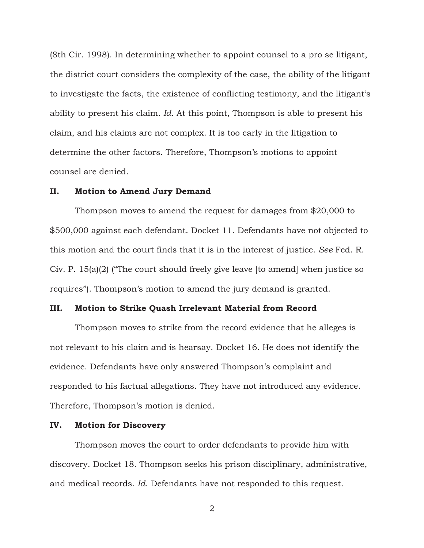(8th Cir. 1998). In determining whether to appoint counsel to a pro se litigant, the district court considers the complexity of the case, the ability of the litigant to investigate the facts, the existence of conflicting testimony, and the litigant's ability to present his claim. *Id*. At this point, Thompson is able to present his claim, and his claims are not complex. It is too early in the litigation to determine the other factors. Therefore, Thompson's motions to appoint counsel are denied.

#### **II. Motion to Amend Jury Demand**

 Thompson moves to amend the request for damages from \$20,000 to \$500,000 against each defendant. Docket 11. Defendants have not objected to this motion and the court finds that it is in the interest of justice. *See* Fed. R. Civ. P. 15(a)(2) ("The court should freely give leave [to amend] when justice so requires"). Thompson's motion to amend the jury demand is granted.

### **III. Motion to Strike Quash Irrelevant Material from Record**

 Thompson moves to strike from the record evidence that he alleges is not relevant to his claim and is hearsay. Docket 16. He does not identify the evidence. Defendants have only answered Thompson's complaint and responded to his factual allegations. They have not introduced any evidence. Therefore, Thompson's motion is denied.

### **IV. Motion for Discovery**

 Thompson moves the court to order defendants to provide him with discovery. Docket 18. Thompson seeks his prison disciplinary, administrative, and medical records. *Id*. Defendants have not responded to this request.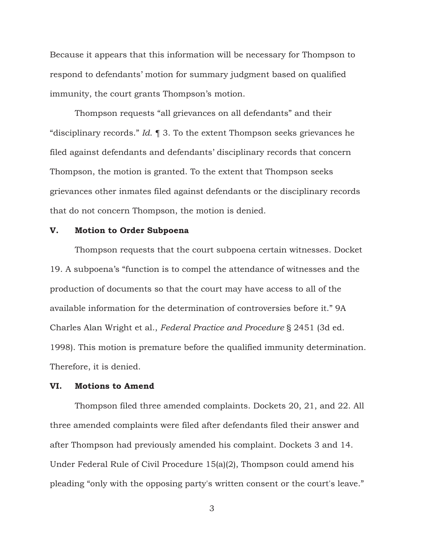Because it appears that this information will be necessary for Thompson to respond to defendants' motion for summary judgment based on qualified immunity, the court grants Thompson's motion.

 Thompson requests "all grievances on all defendants" and their "disciplinary records." *Id*. ¶ 3. To the extent Thompson seeks grievances he filed against defendants and defendants' disciplinary records that concern Thompson, the motion is granted. To the extent that Thompson seeks grievances other inmates filed against defendants or the disciplinary records that do not concern Thompson, the motion is denied.

#### **V. Motion to Order Subpoena**

 Thompson requests that the court subpoena certain witnesses. Docket 19. A subpoena's "function is to compel the attendance of witnesses and the production of documents so that the court may have access to all of the available information for the determination of controversies before it." 9A Charles Alan Wright et al., *Federal Practice and Procedure* § 2451 (3d ed. 1998). This motion is premature before the qualified immunity determination. Therefore, it is denied.

## **VI. Motions to Amend**

 Thompson filed three amended complaints. Dockets 20, 21, and 22. All three amended complaints were filed after defendants filed their answer and after Thompson had previously amended his complaint. Dockets 3 and 14. Under Federal Rule of Civil Procedure 15(a)(2), Thompson could amend his pleading "only with the opposing party's written consent or the court's leave."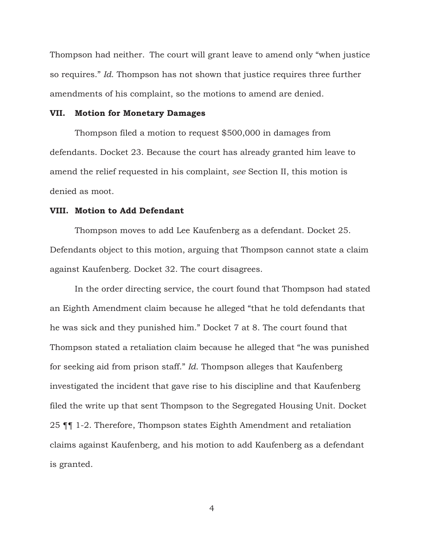Thompson had neither. The court will grant leave to amend only "when justice so requires." *Id*. Thompson has not shown that justice requires three further amendments of his complaint, so the motions to amend are denied.

#### **VII. Motion for Monetary Damages**

 Thompson filed a motion to request \$500,000 in damages from defendants. Docket 23. Because the court has already granted him leave to amend the relief requested in his complaint, *see* Section II, this motion is denied as moot.

### **VIII. Motion to Add Defendant**

 Thompson moves to add Lee Kaufenberg as a defendant. Docket 25. Defendants object to this motion, arguing that Thompson cannot state a claim against Kaufenberg. Docket 32. The court disagrees.

 In the order directing service, the court found that Thompson had stated an Eighth Amendment claim because he alleged "that he told defendants that he was sick and they punished him." Docket 7 at 8. The court found that Thompson stated a retaliation claim because he alleged that "he was punished for seeking aid from prison staff." *Id*. Thompson alleges that Kaufenberg investigated the incident that gave rise to his discipline and that Kaufenberg filed the write up that sent Thompson to the Segregated Housing Unit. Docket 25 ¶¶ 1-2. Therefore, Thompson states Eighth Amendment and retaliation claims against Kaufenberg, and his motion to add Kaufenberg as a defendant is granted.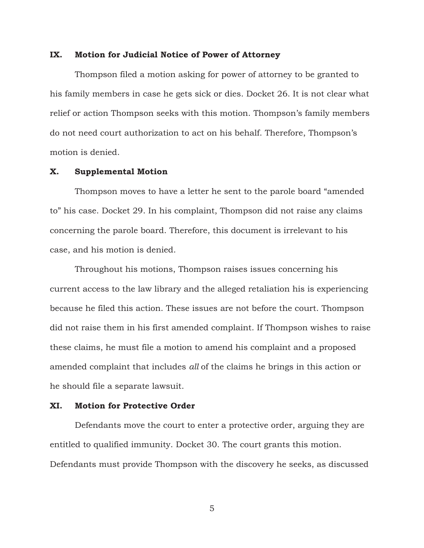#### **IX. Motion for Judicial Notice of Power of Attorney**

 Thompson filed a motion asking for power of attorney to be granted to his family members in case he gets sick or dies. Docket 26. It is not clear what relief or action Thompson seeks with this motion. Thompson's family members do not need court authorization to act on his behalf. Therefore, Thompson's motion is denied.

## **X. Supplemental Motion**

 Thompson moves to have a letter he sent to the parole board "amended to" his case. Docket 29. In his complaint, Thompson did not raise any claims concerning the parole board. Therefore, this document is irrelevant to his case, and his motion is denied.

 Throughout his motions, Thompson raises issues concerning his current access to the law library and the alleged retaliation his is experiencing because he filed this action. These issues are not before the court. Thompson did not raise them in his first amended complaint. If Thompson wishes to raise these claims, he must file a motion to amend his complaint and a proposed amended complaint that includes *all* of the claims he brings in this action or he should file a separate lawsuit.

#### **XI. Motion for Protective Order**

 Defendants move the court to enter a protective order, arguing they are entitled to qualified immunity. Docket 30. The court grants this motion. Defendants must provide Thompson with the discovery he seeks, as discussed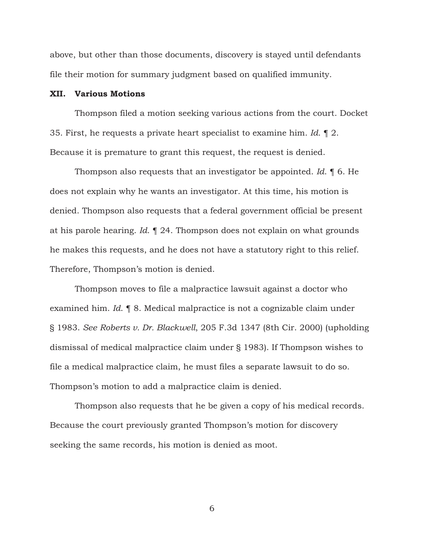above, but other than those documents, discovery is stayed until defendants file their motion for summary judgment based on qualified immunity.

#### **XII. Various Motions**

Thompson filed a motion seeking various actions from the court. Docket 35. First, he requests a private heart specialist to examine him. *Id*. ¶ 2. Because it is premature to grant this request, the request is denied.

Thompson also requests that an investigator be appointed. *Id*. ¶ 6. He does not explain why he wants an investigator. At this time, his motion is denied. Thompson also requests that a federal government official be present at his parole hearing. *Id*. ¶ 24. Thompson does not explain on what grounds he makes this requests, and he does not have a statutory right to this relief. Therefore, Thompson's motion is denied.

Thompson moves to file a malpractice lawsuit against a doctor who examined him. *Id*. ¶ 8. Medical malpractice is not a cognizable claim under § 1983. *See Roberts v. Dr. Blackwell*, 205 F.3d 1347 (8th Cir. 2000) (upholding dismissal of medical malpractice claim under § 1983). If Thompson wishes to file a medical malpractice claim, he must files a separate lawsuit to do so. Thompson's motion to add a malpractice claim is denied.

Thompson also requests that he be given a copy of his medical records. Because the court previously granted Thompson's motion for discovery seeking the same records, his motion is denied as moot.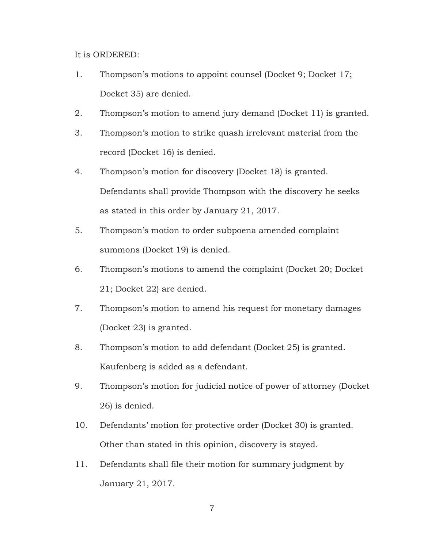It is ORDERED:

- 1. Thompson's motions to appoint counsel (Docket 9; Docket 17; Docket 35) are denied.
- 2. Thompson's motion to amend jury demand (Docket 11) is granted.
- 3. Thompson's motion to strike quash irrelevant material from the record (Docket 16) is denied.
- 4. Thompson's motion for discovery (Docket 18) is granted. Defendants shall provide Thompson with the discovery he seeks as stated in this order by January 21, 2019.
- 5. Thompson's motion to order subpoena amended complaint summons (Docket 19) is denied.
- 6. Thompson's motions to amend the complaint (Docket 20; Docket 21; Docket 22) are denied.
- 7. Thompson's motion to amend his request for monetary damages (Docket 23) is granted.
- 8. Thompson's motion to add defendant (Docket 25) is granted. Kaufenberg is added as a defendant.
- 9. Thompson's motion for judicial notice of power of attorney (Docket 26) is denied.
- 10. Defendants' motion for protective order (Docket 30) is granted. Other than stated in this opinion, discovery is stayed.
- 11. Defendants shall file their motion for summary judgment by January 21, 2019.